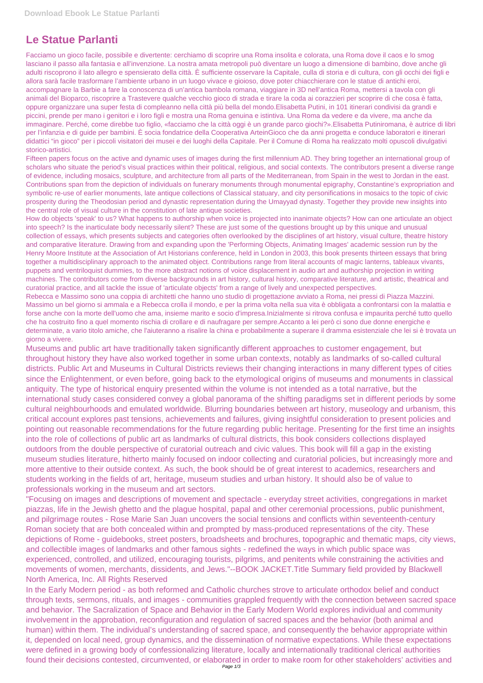## **Le Statue Parlanti**

Facciamo un gioco facile, possibile e divertente: cerchiamo di scoprire una Roma insolita e colorata, una Roma dove il caos e lo smog lasciano il passo alla fantasia e all'invenzione. La nostra amata metropoli può diventare un luogo a dimensione di bambino, dove anche gli adulti riscoprono il lato allegro e spensierato della città. È sufficiente osservare la Capitale, culla di storia e di cultura, con gli occhi dei figli e allora sarà facile trasformare l'ambiente urbano in un luogo vivace e gioioso, dove poter chiacchierare con le statue di antichi eroi, accompagnare la Barbie a fare la conoscenza di un'antica bambola romana, viaggiare in 3D nell'antica Roma, mettersi a tavola con gli animali del Bioparco, riscoprire a Trastevere qualche vecchio gioco di strada e tirare la coda ai corazzieri per scoprire di che cosa è fatta, oppure organizzare una super festa di compleanno nella città più bella del mondo.Elisabetta Putini, in 101 itinerari condivisi da grandi e piccini, prende per mano i genitori e i loro figli e mostra una Roma genuina e istintiva. Una Roma da vedere e da vivere, ma anche da immaginare. Perché, come direbbe tuo figlio, «facciamo che la città oggi è un grande parco giochi?».Elisabetta Putiniromana, è autrice di libri per l'infanzia e di guide per bambini. È socia fondatrice della Cooperativa ArteinGioco che da anni progetta e conduce laboratori e itinerari didattici "in gioco" per i piccoli visitatori dei musei e dei luoghi della Capitale. Per il Comune di Roma ha realizzato molti opuscoli divulgativi storico-artistici.

Fifteen papers focus on the active and dynamic uses of images during the first millennium AD. They bring together an international group of scholars who situate the period's visual practices within their political, religious, and social contexts. The contributors present a diverse range of evidence, including mosaics, sculpture, and architecture from all parts of the Mediterranean, from Spain in the west to Jordan in the east. Contributions span from the depiction of individuals on funerary monuments through monumental epigraphy, Constantine's expropriation and symbolic re-use of earlier monuments, late antique collections of Classical statuary, and city personifications in mosaics to the topic of civic prosperity during the Theodosian period and dynastic representation during the Umayyad dynasty. Together they provide new insights into the central role of visual culture in the constitution of late antique societies.

How do objects 'speak' to us? What happens to authorship when voice is projected into inanimate objects? How can one articulate an object into speech? Is the inarticulate body necessarily silent? These are just some of the questions brought up by this unique and unusual collection of essays, which presents subjects and categories often overlooked by the disciplines of art history, visual culture, theatre history and comparative literature. Drawing from and expanding upon the 'Performing Objects, Animating Images' academic session run by the Henry Moore Institute at the Association of Art Historians conference, held in London in 2003, this book presents thirteen essays that bring together a multidisciplinary approach to the animated object. Contributions range from literal accounts of magic lanterns, tableaux vivants, puppets and ventriloquist dummies, to the more abstract notions of voice displacement in audio art and authorship projection in writing machines. The contributors come from diverse backgrounds in art history, cultural history, comparative literature, and artistic, theatrical and curatorial practice, and all tackle the issue of 'articulate objects' from a range of lively and unexpected perspectives.

Rebecca e Massimo sono una coppia di architetti che hanno uno studio di progettazione avviato a Roma, nei pressi di Piazza Mazzini. Massimo un bel giorno si ammala e a Rebecca crolla il mondo, e per la prima volta nella sua vita è obbligata a confrontarsi con la malattia e forse anche con la morte dell'uomo che ama, insieme marito e socio d'impresa.Inizialmente si ritrova confusa e impaurita perché tutto quello che ha costruito fino a quel momento rischia di crollare e di naufragare per sempre.Accanto a lei però ci sono due donne energiche e determinate, a vario titolo amiche, che l'aiuteranno a risalire la china e probabilmente a superare il dramma esistenziale che lei si è trovata un giorno a vivere.

Museums and public art have traditionally taken significantly different approaches to customer engagement, but throughout history they have also worked together in some urban contexts, notably as landmarks of so-called cultural districts. Public Art and Museums in Cultural Districts reviews their changing interactions in many different types of cities since the Enlightenment, or even before, going back to the etymological origins of museums and monuments in classical antiquity. The type of historical enquiry presented within the volume is not intended as a total narrative, but the international study cases considered convey a global panorama of the shifting paradigms set in different periods by some cultural neighbourhoods and emulated worldwide. Blurring boundaries between art history, museology and urbanism, this critical account explores past tensions, achievements and failures, giving insightful consideration to present policies and pointing out reasonable recommendations for the future regarding public heritage. Presenting for the first time an insights into the role of collections of public art as landmarks of cultural districts, this book considers collections displayed outdoors from the double perspective of curatorial outreach and civic values. This book will fill a gap in the existing museum studies literature, hitherto mainly focused on indoor collecting and curatorial policies, but increasingly more and more attentive to their outside context. As such, the book should be of great interest to academics, researchers and students working in the fields of art, heritage, museum studies and urban history. It should also be of value to professionals working in the museum and art sectors.

"Focusing on images and descriptions of movement and spectacle - everyday street activities, congregations in market piazzas, life in the Jewish ghetto and the plague hospital, papal and other ceremonial processions, public punishment, and pilgrimage routes - Rose Marie San Juan uncovers the social tensions and conflicts within seventeenth-century Roman society that are both concealed within and prompted by mass-produced representations of the city. These depictions of Rome - guidebooks, street posters, broadsheets and brochures, topographic and thematic maps, city views, and collectible images of landmarks and other famous sights - redefined the ways in which public space was experienced, controlled, and utilized, encouraging tourists, pilgrims, and penitents while constraining the activities and movements of women, merchants, dissidents, and Jews."--BOOK JACKET.Title Summary field provided by Blackwell North America, Inc. All Rights Reserved In the Early Modern period - as both reformed and Catholic churches strove to articulate orthodox belief and conduct through texts, sermons, rituals, and images - communities grappled frequently with the connection between sacred space and behavior. The Sacralization of Space and Behavior in the Early Modern World explores individual and community involvement in the approbation, reconfiguration and regulation of sacred spaces and the behavior (both animal and human) within them. The individual's understanding of sacred space, and consequently the behavior appropriate within it, depended on local need, group dynamics, and the dissemination of normative expectations. While these expectations were defined in a growing body of confessionalizing literature, locally and internationally traditional clerical authorities found their decisions contested, circumvented, or elaborated in order to make room for other stakeholders' activities and Page 1/3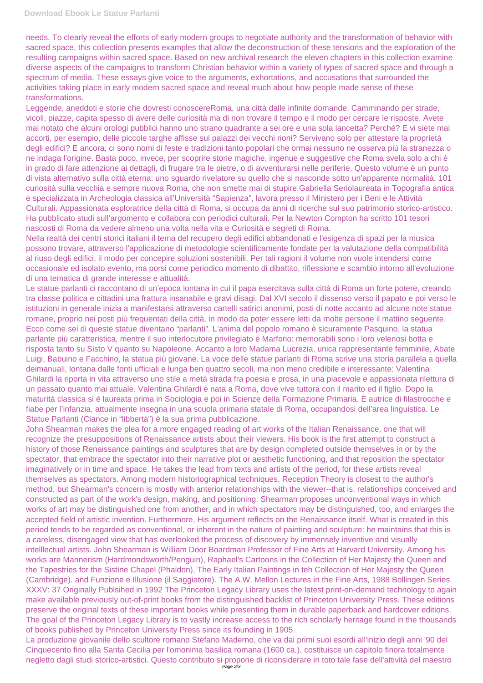needs. To clearly reveal the efforts of early modern groups to negotiate authority and the transformation of behavior with sacred space, this collection presents examples that allow the deconstruction of these tensions and the exploration of the resulting campaigns within sacred space. Based on new archival research the eleven chapters in this collection examine diverse aspects of the campaigns to transform Christian behavior within a variety of types of sacred space and through a spectrum of media. These essays give voice to the arguments, exhortations, and accusations that surrounded the activities taking place in early modern sacred space and reveal much about how people made sense of these transformations.

Leggende, aneddoti e storie che dovresti conoscereRoma, una città dalle infinite domande. Camminando per strade, vicoli, piazze, capita spesso di avere delle curiosità ma di non trovare il tempo e il modo per cercare le risposte. Avete mai notato che alcuni orologi pubblici hanno uno strano quadrante a sei ore e una sola lancetta? Perché? E vi siete mai accorti, per esempio, delle piccole targhe affisse sui palazzi dei vecchi rioni? Servivano solo per attestare la proprietà degli edifici? E ancora, ci sono nomi di feste e tradizioni tanto popolari che ormai nessuno ne osserva più la stranezza o ne indaga l'origine. Basta poco, invece, per scoprire storie magiche, ingenue e suggestive che Roma svela solo a chi è in grado di fare attenzione ai dettagli, di frugare tra le pietre, o di avventurarsi nelle periferie. Questo volume è un punto di vista alternativo sulla città eterna: uno sguardo rivelatore su quello che si nasconde sotto un'apparente normalità. 101 curiosità sulla vecchia e sempre nuova Roma, che non smette mai di stupire.Gabriella Seriolaureata in Topografia antica e specializzata in Archeologia classica all'Università "Sapienza", lavora presso il Ministero per i Beni e le Attività Culturali. Appassionata esploratrice della città di Roma, si occupa da anni di ricerche sul suo patrimonio storico-artistico. Ha pubblicato studi sull'argomento e collabora con periodici culturali. Per la Newton Compton ha scritto 101 tesori nascosti di Roma da vedere almeno una volta nella vita e Curiosità e segreti di Roma.

Nella realtà dei centri storici italiani il tema del recupero degli edifici abbandonati e l'esigenza di spazi per la musica possono trovare, attraverso l'applicazione di metodologie scientificamente fondate per la valutazione della compatibilità al riuso degli edifici, il modo per concepire soluzioni sostenibili. Per tali ragioni il volume non vuole intendersi come occasionale ed isolato evento, ma porsi come periodico momento di dibattito, riflessione e scambio intorno all'evoluzione di una tematica di grande interesse e attualità.

Le statue parlanti ci raccontano di un'epoca lontana in cui il papa esercitava sulla città di Roma un forte potere, creando tra classe politica e cittadini una frattura insanabile e gravi disagi. Dal XVI secolo il dissenso verso il papato e poi verso le istituzioni in generale inizia a manifestarsi attraverso cartelli satirici anonimi, posti di notte accanto ad alcune note statue romane, proprio nei posti più frequentati della città, in modo da poter essere letti da molte persone il mattino seguente. Ecco come sei di queste statue diventano "parlanti". L'anima del popolo romano è sicuramente Pasquino, la statua parlante più caratteristica, mentre il suo interlocutore privilegiato è Marforio: memorabili sono i loro velenosi botta e risposta tanto su Sisto V quanto su Napoleone. Accanto a loro Madama Lucrezia, unica rappresentante femminile, Abate Luigi, Babuino e Facchino, la statua più giovane. La voce delle statue parlanti di Roma scrive una storia parallela a quella deimanuali, lontana dalle fonti ufficiali e lunga ben quattro secoli, ma non meno credibile e interessante: Valentina Ghilardi la riporta in vita attraverso uno stile a metà strada fra poesia e prosa, in una piacevole e appassionata rilettura di un passato quanto mai attuale. Valentina Ghilardi è nata a Roma, dove vive tuttora con il marito ed il figlio. Dopo la maturità classica si è laureata prima in Sociologia e poi in Scienze della Formazione Primaria. È autrice di filastrocche e fiabe per l'infanzia, attualmente insegna in una scuola primaria statale di Roma, occupandosi dell'area linguistica. Le Statue Parlanti (Ciance in "libbertà") è la sua prima pubblicazione.

John Shearman makes the plea for a more engaged reading of art works of the Italian Renaissance, one that will recognize the presuppositions of Renaissance artists about their viewers. His book is the first attempt to construct a history of those Renaissance paintings and sculptures that are by design completed outside themselves in or by the spectator, that embrace the spectator into their narrative plot or aesthetic functioning, and that reposition the spectator imaginatively or in time and space. He takes the lead from texts and artists of the period, for these artists reveal themselves as spectators. Among modern historiographical techniques, Reception Theory is closest to the author's method, but Shearman's concern is mostly with anterior relationships with the viewer--that is, relationships conceived and constructed as part of the work's design, making, and positioning. Shearman proposes unconventional ways in which works of art may be distinguished one from another, and in which spectators may be distinguished, too, and enlarges the accepted field of artistic invention. Furthermore, His argument reflects on the Renaissance itself. What is created in this period tends to be regarded as conventional, or inherent in the nature of painting and sculpture: he maintains that this is a careless, disengaged view that has overlooked the process of discovery by immensely inventive and visually intelllectual artists. John Shearman is William Door Boardman Professor of Fine Arts at Harvard University. Among his works are Mannerism (Hardmondsworth/Penguin), Raphael's Cartoons in the Collection of Her Majesty the Queen and the Tapestries for the Sistine Chapel (Phaidon), The Early Italian Paintings in teh Collection of Her Majesty the Queen (Cambridge). and Funzione e Illusione (il Saggiatore). The A.W. Mellon Lectures in the Fine Arts, 1988 Bollingen Series XXXV: 37 Originally Publsihed in 1992 The Princeton Legacy Library uses the latest print-on-demand technology to again make available previously out-of-print books from the distinguished backlist of Princeton University Press. These editions preserve the original texts of these important books while presenting them in durable paperback and hardcover editions. The goal of the Princeton Legacy Library is to vastly increase access to the rich scholarly heritage found in the thousands of books published by Princeton University Press since its founding in 1905. La produzione giovanile dello scultore romano Stefano Maderno, che va dai primi suoi esordi all'inizio degli anni '90 del Cinquecento fino alla Santa Cecilia per l'omonima basilica romana (1600 ca.), costituisce un capitolo finora totalmente negletto dagli studi storico-artistici. Questo contributo si propone di riconsiderare in toto tale fase dell'attività del maestro Page 2/3